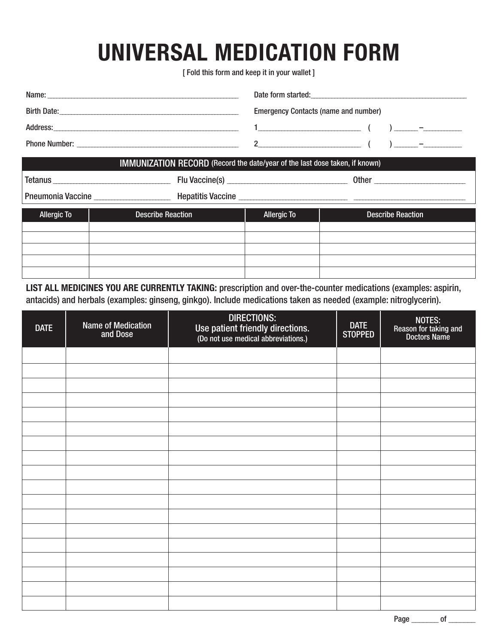## **UNIVERSAL MEDICATION FORM**

[ Fold this form and keep it in your wallet ]

| Name:                | Date form started:                          |  |  |
|----------------------|---------------------------------------------|--|--|
| <b>Birth Date:</b>   | <b>Emergency Contacts (name and number)</b> |  |  |
| Address:             | -                                           |  |  |
| <b>Phone Number:</b> |                                             |  |  |

 $\mathbf{H}$ 

| <b>INIMUNIZATION REGORD</b> (Record the date/year of the last dose taken, if Known) |                                              |                    |                          |  |  |  |  |
|-------------------------------------------------------------------------------------|----------------------------------------------|--------------------|--------------------------|--|--|--|--|
|                                                                                     | Tetanus <b>Exercises Exercises Exercises</b> |                    |                          |  |  |  |  |
|                                                                                     | Pneumonia Vaccine<br>Hepatitis Vaccine       |                    |                          |  |  |  |  |
| <b>Allergic To</b>                                                                  | <b>Describe Reaction</b>                     | <b>Allergic To</b> | <b>Describe Reaction</b> |  |  |  |  |
|                                                                                     |                                              |                    |                          |  |  |  |  |
|                                                                                     |                                              |                    |                          |  |  |  |  |
|                                                                                     |                                              |                    |                          |  |  |  |  |
|                                                                                     |                                              |                    |                          |  |  |  |  |

**LIST ALL MEDICINES YOU ARE CURRENTLY TAKING:** prescription and over-the-counter medications (examples: aspirin, antacids) and herbals (examples: ginseng, ginkgo). Include medications taken as needed (example: nitroglycerin).

| <b>DATE</b> | <b>Name of Medication</b><br>and Dose | <b>DIRECTIONS:</b><br>Use patient friendly directions.<br>(Do not use medical abbreviations.) | DATE<br>STOPPED | NOTES:<br>Reason for taking and<br>Doctors Name |
|-------------|---------------------------------------|-----------------------------------------------------------------------------------------------|-----------------|-------------------------------------------------|
|             |                                       |                                                                                               |                 |                                                 |
|             |                                       |                                                                                               |                 |                                                 |
|             |                                       |                                                                                               |                 |                                                 |
|             |                                       |                                                                                               |                 |                                                 |
|             |                                       |                                                                                               |                 |                                                 |
|             |                                       |                                                                                               |                 |                                                 |
|             |                                       |                                                                                               |                 |                                                 |
|             |                                       |                                                                                               |                 |                                                 |
|             |                                       |                                                                                               |                 |                                                 |
|             |                                       |                                                                                               |                 |                                                 |
|             |                                       |                                                                                               |                 |                                                 |
|             |                                       |                                                                                               |                 |                                                 |
|             |                                       |                                                                                               |                 |                                                 |
|             |                                       |                                                                                               |                 |                                                 |
|             |                                       |                                                                                               |                 |                                                 |
|             |                                       |                                                                                               |                 |                                                 |
|             |                                       |                                                                                               |                 |                                                 |
|             |                                       |                                                                                               |                 |                                                 |